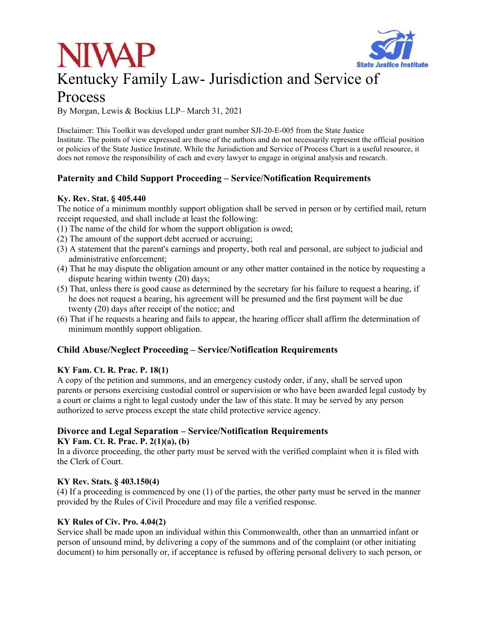



# Process

By Morgan, Lewis & Bockius LLP– March 31, 2021

Disclaimer: This Toolkit was developed under grant number SJI-20-E-005 from the State Justice Institute. The points of view expressed are those of the authors and do not necessarily represent the official position or policies of the State Justice Institute. While the Jurisdiction and Service of Process Chart is a useful resource, it does not remove the responsibility of each and every lawyer to engage in original analysis and research.

# **Paternity and Child Support Proceeding – Service/Notification Requirements**

## **Ky. Rev. Stat. § 405.440**

The notice of a minimum monthly support obligation shall be served in person or by certified mail, return receipt requested, and shall include at least the following:

- (1) The name of the child for whom the support obligation is owed;
- (2) The amount of the support debt accrued or accruing;
- (3) A statement that the parent's earnings and property, both real and personal, are subject to judicial and administrative enforcement;
- (4) That he may dispute the obligation amount or any other matter contained in the notice by requesting a dispute hearing within twenty (20) days;
- (5) That, unless there is good cause as determined by the secretary for his failure to request a hearing, if he does not request a hearing, his agreement will be presumed and the first payment will be due twenty (20) days after receipt of the notice; and
- (6) That if he requests a hearing and fails to appear, the hearing officer shall affirm the determination of minimum monthly support obligation.

# **Child Abuse/Neglect Proceeding – Service/Notification Requirements**

## **KY Fam. Ct. R. Prac. P. 18(1)**

A copy of the petition and summons, and an emergency custody order, if any, shall be served upon parents or persons exercising custodial control or supervision or who have been awarded legal custody by a court or claims a right to legal custody under the law of this state. It may be served by any person authorized to serve process except the state child protective service agency.

# **Divorce and Legal Separation – Service/Notification Requirements**

## **KY Fam. Ct. R. Prac. P. 2(1)(a), (b)**

In a divorce proceeding, the other party must be served with the verified complaint when it is filed with the Clerk of Court.

## **KY Rev. Stats. § 403.150(4)**

(4) If a proceeding is commenced by one (1) of the parties, the other party must be served in the manner provided by the Rules of Civil Procedure and may file a verified response.

## **KY Rules of Civ. Pro. 4.04(2)**

Service shall be made upon an individual within this Commonwealth, other than an unmarried infant or person of unsound mind, by delivering a copy of the summons and of the complaint (or other initiating document) to him personally or, if acceptance is refused by offering personal delivery to such person, or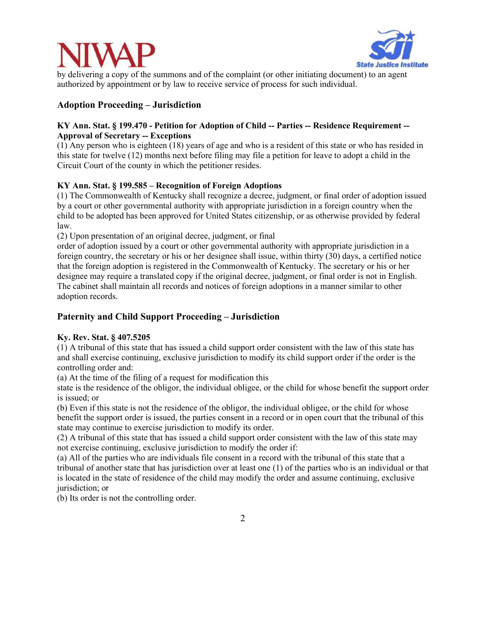



by delivering a copy of the summons and of the complaint (or other initiating document) to an agent authorized by appointment or by law to receive service of process for such individual.

## **Adoption Proceeding – Jurisdiction**

## **KY Ann. Stat. § 199.470 - Petition for Adoption of Child -- Parties -- Residence Requirement -- Approval of Secretary -- Exceptions**

(1) Any person who is eighteen (18) years of age and who is a resident of this state or who has resided in this state for twelve (12) months next before filing may file a petition for leave to adopt a child in the Circuit Court of the county in which the petitioner resides.

## **KY Ann. Stat. § 199.585 – Recognition of Foreign Adoptions**

(1) The Commonwealth of Kentucky shall recognize a decree, judgment, or final order of adoption issued by a court or other governmental authority with appropriate jurisdiction in a foreign country when the child to be adopted has been approved for United States citizenship, or as otherwise provided by federal law.

(2) Upon presentation of an original decree, judgment, or final

order of adoption issued by a court or other governmental authority with appropriate jurisdiction in a foreign country, the secretary or his or her designee shall issue, within thirty (30) days, a certified notice that the foreign adoption is registered in the Commonwealth of Kentucky. The secretary or his or her designee may require a translated copy if the original decree, judgment, or final order is not in English. The cabinet shall maintain all records and notices of foreign adoptions in a manner similar to other adoption records.

## **Paternity and Child Support Proceeding – Jurisdiction**

### **Ky. Rev. Stat. § 407.5205**

(1) A tribunal of this state that has issued a child support order consistent with the law of this state has and shall exercise continuing, exclusive jurisdiction to modify its child support order if the order is the controlling order and:

(a) At the time of the filing of a request for modification this

state is the residence of the obligor, the individual obligee, or the child for whose benefit the support order is issued; or

(b) Even if this state is not the residence of the obligor, the individual obligee, or the child for whose benefit the support order is issued, the parties consent in a record or in open court that the tribunal of this state may continue to exercise jurisdiction to modify its order.

(2) A tribunal of this state that has issued a child support order consistent with the law of this state may not exercise continuing, exclusive jurisdiction to modify the order if:

(a) All of the parties who are individuals file consent in a record with the tribunal of this state that a tribunal of another state that has jurisdiction over at least one (1) of the parties who is an individual or that is located in the state of residence of the child may modify the order and assume continuing, exclusive jurisdiction; or

(b) Its order is not the controlling order.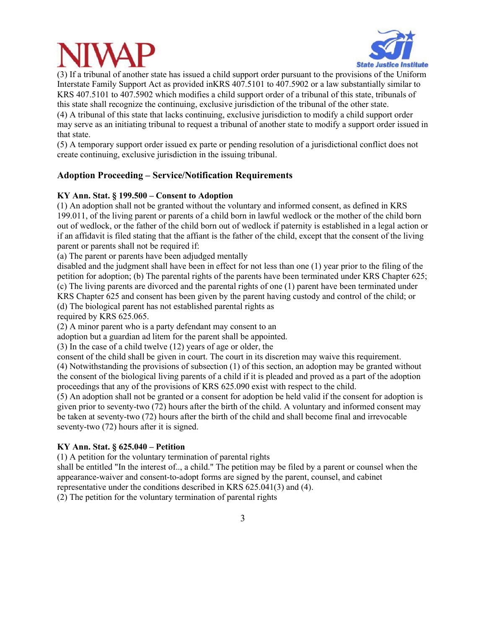



(3) If a tribunal of another state has issued a child support order pursuant to the provisions of the Uniform Interstate Family Support Act as provided inKRS 407.5101 to 407.5902 or a law substantially similar to KRS 407.5101 to 407.5902 which modifies a child support order of a tribunal of this state, tribunals of this state shall recognize the continuing, exclusive jurisdiction of the tribunal of the other state. (4) A tribunal of this state that lacks continuing, exclusive jurisdiction to modify a child support order may serve as an initiating tribunal to request a tribunal of another state to modify a support order issued in that state.

(5) A temporary support order issued ex parte or pending resolution of a jurisdictional conflict does not create continuing, exclusive jurisdiction in the issuing tribunal.

## **Adoption Proceeding – Service/Notification Requirements**

### **KY Ann. Stat. § 199.500 – Consent to Adoption**

(1) An adoption shall not be granted without the voluntary and informed consent, as defined in KRS 199.011, of the living parent or parents of a child born in lawful wedlock or the mother of the child born out of wedlock, or the father of the child born out of wedlock if paternity is established in a legal action or if an affidavit is filed stating that the affiant is the father of the child, except that the consent of the living parent or parents shall not be required if:

(a) The parent or parents have been adjudged mentally

disabled and the judgment shall have been in effect for not less than one (1) year prior to the filing of the petition for adoption; (b) The parental rights of the parents have been terminated under KRS Chapter 625; (c) The living parents are divorced and the parental rights of one (1) parent have been terminated under KRS Chapter 625 and consent has been given by the parent having custody and control of the child; or (d) The biological parent has not established parental rights as

required by KRS 625.065.

(2) A minor parent who is a party defendant may consent to an

adoption but a guardian ad litem for the parent shall be appointed.

(3) In the case of a child twelve (12) years of age or older, the

consent of the child shall be given in court. The court in its discretion may waive this requirement.

(4) Notwithstanding the provisions of subsection (1) of this section, an adoption may be granted without the consent of the biological living parents of a child if it is pleaded and proved as a part of the adoption proceedings that any of the provisions of KRS 625.090 exist with respect to the child.

(5) An adoption shall not be granted or a consent for adoption be held valid if the consent for adoption is given prior to seventy-two (72) hours after the birth of the child. A voluntary and informed consent may be taken at seventy-two (72) hours after the birth of the child and shall become final and irrevocable seventy-two (72) hours after it is signed.

### **KY Ann. Stat. § 625.040 – Petition**

(1) A petition for the voluntary termination of parental rights

shall be entitled "In the interest of.., a child." The petition may be filed by a parent or counsel when the appearance-waiver and consent-to-adopt forms are signed by the parent, counsel, and cabinet representative under the conditions described in KRS 625.041(3) and (4).

(2) The petition for the voluntary termination of parental rights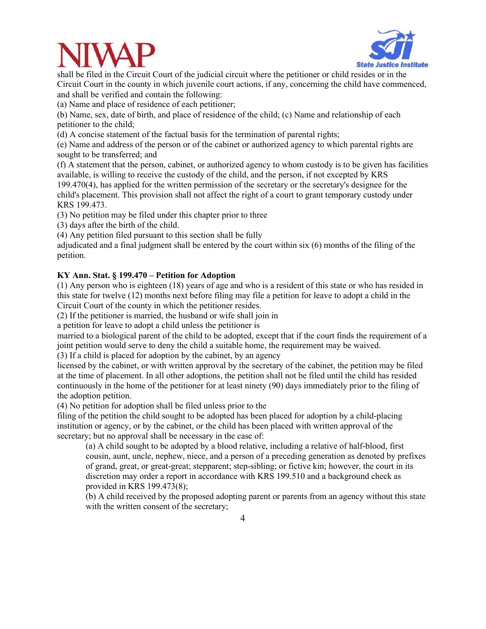



shall be filed in the Circuit Court of the judicial circuit where the petitioner or child resides or in the Circuit Court in the county in which juvenile court actions, if any, concerning the child have commenced, and shall be verified and contain the following:

(a) Name and place of residence of each petitioner;

(b) Name, sex, date of birth, and place of residence of the child; (c) Name and relationship of each petitioner to the child;

(d) A concise statement of the factual basis for the termination of parental rights;

(e) Name and address of the person or of the cabinet or authorized agency to which parental rights are sought to be transferred; and

(f) A statement that the person, cabinet, or authorized agency to whom custody is to be given has facilities available, is willing to receive the custody of the child, and the person, if not excepted by KRS

199.470(4), has applied for the written permission of the secretary or the secretary's designee for the child's placement. This provision shall not affect the right of a court to grant temporary custody under KRS 199.473.

(3) No petition may be filed under this chapter prior to three

(3) days after the birth of the child.

(4) Any petition filed pursuant to this section shall be fully

adjudicated and a final judgment shall be entered by the court within six (6) months of the filing of the petition.

## **KY Ann. Stat. § 199.470 – Petition for Adoption**

(1) Any person who is eighteen (18) years of age and who is a resident of this state or who has resided in this state for twelve (12) months next before filing may file a petition for leave to adopt a child in the Circuit Court of the county in which the petitioner resides.

(2) If the petitioner is married, the husband or wife shall join in

a petition for leave to adopt a child unless the petitioner is

married to a biological parent of the child to be adopted, except that if the court finds the requirement of a joint petition would serve to deny the child a suitable home, the requirement may be waived.

(3) If a child is placed for adoption by the cabinet, by an agency

licensed by the cabinet, or with written approval by the secretary of the cabinet, the petition may be filed at the time of placement. In all other adoptions, the petition shall not be filed until the child has resided continuously in the home of the petitioner for at least ninety (90) days immediately prior to the filing of the adoption petition.

(4) No petition for adoption shall be filed unless prior to the

filing of the petition the child sought to be adopted has been placed for adoption by a child-placing institution or agency, or by the cabinet, or the child has been placed with written approval of the secretary; but no approval shall be necessary in the case of:

(a) A child sought to be adopted by a blood relative, including a relative of half-blood, first cousin, aunt, uncle, nephew, niece, and a person of a preceding generation as denoted by prefixes of grand, great, or great-great; stepparent; step-sibling; or fictive kin; however, the court in its discretion may order a report in accordance with KRS 199.510 and a background check as provided in KRS 199.473(8);

(b) A child received by the proposed adopting parent or parents from an agency without this state with the written consent of the secretary;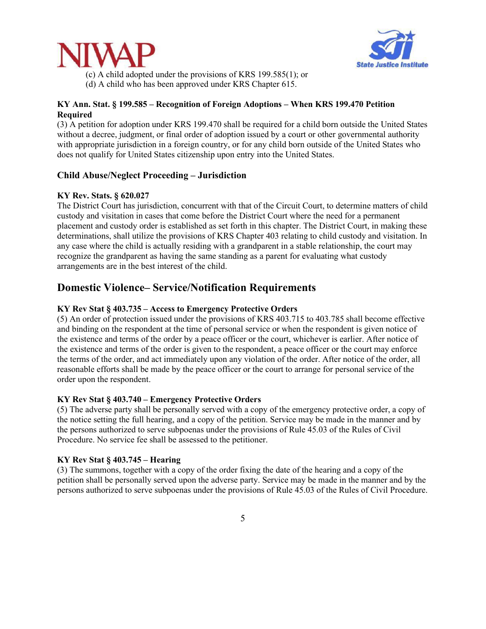



(c) A child adopted under the provisions of KRS 199.585(1); or (d) A child who has been approved under KRS Chapter 615.

## **KY Ann. Stat. § 199.585 – Recognition of Foreign Adoptions – When KRS 199.470 Petition Required**

(3) A petition for adoption under KRS 199.470 shall be required for a child born outside the United States without a decree, judgment, or final order of adoption issued by a court or other governmental authority with appropriate jurisdiction in a foreign country, or for any child born outside of the United States who does not qualify for United States citizenship upon entry into the United States.

## **Child Abuse/Neglect Proceeding – Jurisdiction**

### **KY Rev. Stats. § 620.027**

The District Court has jurisdiction, concurrent with that of the Circuit Court, to determine matters of child custody and visitation in cases that come before the District Court where the need for a permanent placement and custody order is established as set forth in this chapter. The District Court, in making these determinations, shall utilize the provisions of KRS Chapter 403 relating to child custody and visitation. In any case where the child is actually residing with a grandparent in a stable relationship, the court may recognize the grandparent as having the same standing as a parent for evaluating what custody arrangements are in the best interest of the child.

# **Domestic Violence– Service/Notification Requirements**

#### **KY Rev Stat § 403.735 – Access to Emergency Protective Orders**

(5) An order of protection issued under the provisions of KRS 403.715 to 403.785 shall become effective and binding on the respondent at the time of personal service or when the respondent is given notice of the existence and terms of the order by a peace officer or the court, whichever is earlier. After notice of the existence and terms of the order is given to the respondent, a peace officer or the court may enforce the terms of the order, and act immediately upon any violation of the order. After notice of the order, all reasonable efforts shall be made by the peace officer or the court to arrange for personal service of the order upon the respondent.

#### **KY Rev Stat § 403.740 – Emergency Protective Orders**

(5) The adverse party shall be personally served with a copy of the emergency protective order, a copy of the notice setting the full hearing, and a copy of the petition. Service may be made in the manner and by the persons authorized to serve subpoenas under the provisions of Rule 45.03 of the Rules of Civil Procedure. No service fee shall be assessed to the petitioner.

#### **KY Rev Stat § 403.745 – Hearing**

(3) The summons, together with a copy of the order fixing the date of the hearing and a copy of the petition shall be personally served upon the adverse party. Service may be made in the manner and by the persons authorized to serve subpoenas under the provisions of Rule 45.03 of the Rules of Civil Procedure.